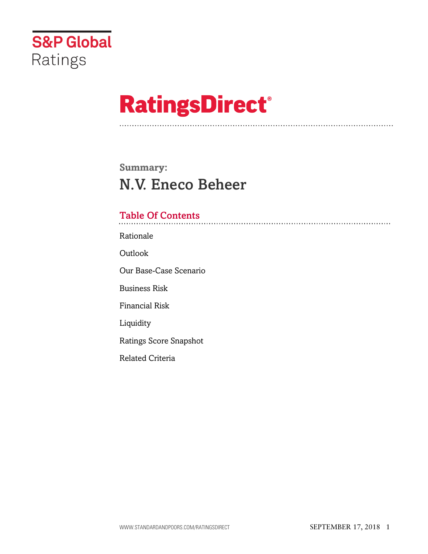

# **RatingsDirect®**

# **Summary:** N.V. Eneco Beheer

# Table Of Contents

[Rationale](#page-1-0)

[Outlook](#page--1-0)

[Our Base-Case Scenario](#page-2-0)

[Business Risk](#page-4-0)

[Financial Risk](#page-5-0)

[Liquidity](#page-6-0)

[Ratings Score Snapshot](#page-6-1)

[Related Criteria](#page-7-0)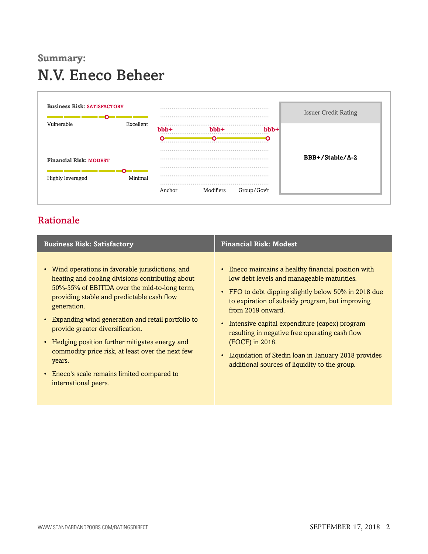# **Summary:** N.V. Eneco Beheer



# <span id="page-1-0"></span>Rationale

| <b>Business Risk: Satisfactory</b>                                                                                                                                                                                                                                                                                                                                                                                                                                                                               | <b>Financial Risk: Modest</b>                                                                                                                                                                                                                                                                                                                                                                                                                                       |
|------------------------------------------------------------------------------------------------------------------------------------------------------------------------------------------------------------------------------------------------------------------------------------------------------------------------------------------------------------------------------------------------------------------------------------------------------------------------------------------------------------------|---------------------------------------------------------------------------------------------------------------------------------------------------------------------------------------------------------------------------------------------------------------------------------------------------------------------------------------------------------------------------------------------------------------------------------------------------------------------|
| • Wind operations in favorable jurisdictions, and<br>heating and cooling divisions contributing about<br>50%-55% of EBITDA over the mid-to-long term,<br>providing stable and predictable cash flow<br>generation.<br>• Expanding wind generation and retail portfolio to<br>provide greater diversification.<br>• Hedging position further mitigates energy and<br>commodity price risk, at least over the next few<br>years.<br>Eneco's scale remains limited compared to<br>$\bullet$<br>international peers. | • Eneco maintains a healthy financial position with<br>low debt levels and manageable maturities.<br>• FFO to debt dipping slightly below 50% in 2018 due<br>to expiration of subsidy program, but improving<br>from 2019 onward.<br>• Intensive capital expenditure (capex) program<br>resulting in negative free operating cash flow<br>(FOCF) in 2018.<br>• Liquidation of Stedin loan in January 2018 provides<br>additional sources of liquidity to the group. |
|                                                                                                                                                                                                                                                                                                                                                                                                                                                                                                                  |                                                                                                                                                                                                                                                                                                                                                                                                                                                                     |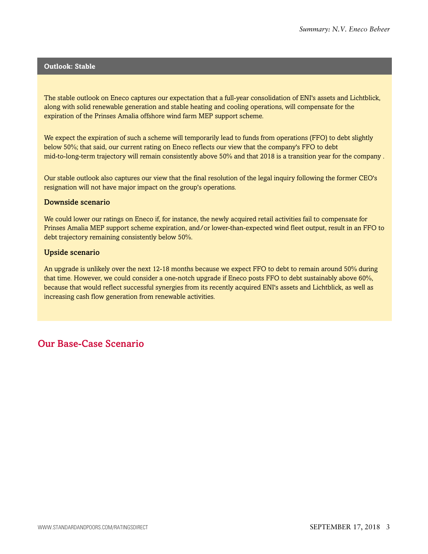#### **Outlook: Stable**

The stable outlook on Eneco captures our expectation that a full-year consolidation of ENI's assets and Lichtblick, along with solid renewable generation and stable heating and cooling operations, will compensate for the expiration of the Prinses Amalia offshore wind farm MEP support scheme.

We expect the expiration of such a scheme will temporarily lead to funds from operations (FFO) to debt slightly below 50%; that said, our current rating on Eneco reflects our view that the company's FFO to debt mid-to-long-term trajectory will remain consistently above 50% and that 2018 is a transition year for the company .

Our stable outlook also captures our view that the final resolution of the legal inquiry following the former CEO's resignation will not have major impact on the group's operations.

#### Downside scenario

We could lower our ratings on Eneco if, for instance, the newly acquired retail activities fail to compensate for Prinses Amalia MEP support scheme expiration, and/or lower-than-expected wind fleet output, result in an FFO to debt trajectory remaining consistently below 50%.

#### Upside scenario

An upgrade is unlikely over the next 12-18 months because we expect FFO to debt to remain around 50% during that time. However, we could consider a one-notch upgrade if Eneco posts FFO to debt sustainably above 60%, because that would reflect successful synergies from its recently acquired ENI's assets and Lichtblick, as well as increasing cash flow generation from renewable activities.

# <span id="page-2-0"></span>Our Base-Case Scenario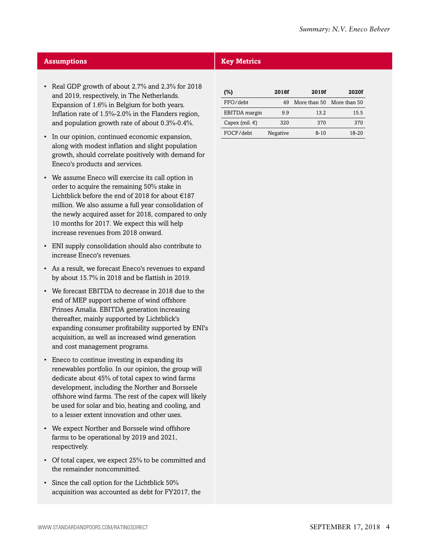# **Assumptions Key Metrics**

- Real GDP growth of about 2.7% and 2.3% for 2018 and 2019, respectively, in The Netherlands. Expansion of 1.6% in Belgium for both years. Inflation rate of 1.5%-2.0% in the Flanders region, and population growth rate of about 0.3%-0.4%.
- In our opinion, continued economic expansion, along with modest inflation and slight population growth, should correlate positively with demand for Eneco's products and services.
- We assume Eneco will exercise its call option in order to acquire the remaining 50% stake in Lichtblick before the end of 2018 for about  $\in$ 187 million. We also assume a full year consolidation of the newly acquired asset for 2018, compared to only 10 months for 2017. We expect this will help increase revenues from 2018 onward.
- ENI supply consolidation should also contribute to increase Eneco's revenues.
- As a result, we forecast Eneco's revenues to expand by about 15.7% in 2018 and be flattish in 2019.
- We forecast EBITDA to decrease in 2018 due to the end of MEP support scheme of wind offshore Prinses Amalia. EBITDA generation increasing thereafter, mainly supported by Lichtblick's expanding consumer profitability supported by ENI's acquisition, as well as increased wind generation and cost management programs.
- Eneco to continue investing in expanding its renewables portfolio. In our opinion, the group will dedicate about 45% of total capex to wind farms development, including the Norther and Borssele offshore wind farms. The rest of the capex will likely be used for solar and bio, heating and cooling, and to a lesser extent innovation and other uses.
- We expect Norther and Borssele wind offshore farms to be operational by 2019 and 2021, respectively.
- Of total capex, we expect 25% to be committed and the remainder noncommitted.
- Since the call option for the Lichtblick 50% acquisition was accounted as debt for FY2017, the

| $(\%)$                   | 2018f    | 2019f    | 2020f                     |
|--------------------------|----------|----------|---------------------------|
| FFO/debt                 | 49       |          | More than 50 More than 50 |
| EBITDA margin            | 9.9      | 13.2     | 15.5                      |
| Capex (mil. $\epsilon$ ) | 320      | 370      | 370                       |
| FOCF/debt                | Negative | $8 - 10$ | 18-20                     |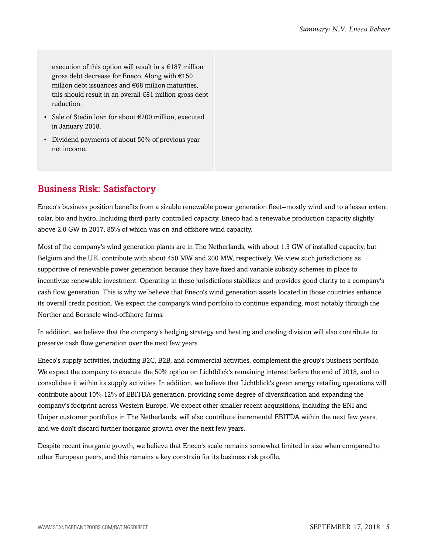execution of this option will result in a  $\epsilon$ 187 million gross debt decrease for Eneco. Along with €150 million debt issuances and €68 million maturities, this should result in an overall €81 million gross debt reduction.

- Sale of Stedin loan for about €200 million, executed in January 2018.
- Dividend payments of about 50% of previous year net income.

# <span id="page-4-0"></span>Business Risk: Satisfactory

Eneco's business position benefits from a sizable renewable power generation fleet--mostly wind and to a lesser extent solar, bio and hydro. Including third-party controlled capacity, Eneco had a renewable production capacity slightly above 2.0 GW in 2017, 85% of which was on and offshore wind capacity.

Most of the company's wind generation plants are in The Netherlands, with about 1.3 GW of installed capacity, but Belgium and the U.K. contribute with about 450 MW and 200 MW, respectively. We view such jurisdictions as supportive of renewable power generation because they have fixed and variable subsidy schemes in place to incentivize renewable investment. Operating in these jurisdictions stabilizes and provides good clarity to a company's cash flow generation. This is why we believe that Eneco's wind generation assets located in those countries enhance its overall credit position. We expect the company's wind portfolio to continue expanding, most notably through the Norther and Borssele wind-offshore farms.

In addition, we believe that the company's hedging strategy and heating and cooling division will also contribute to preserve cash flow generation over the next few years.

Eneco's supply activities, including B2C, B2B, and commercial activities, complement the group's business portfolio. We expect the company to execute the 50% option on Lichtblick's remaining interest before the end of 2018, and to consolidate it within its supply activities. In addition, we believe that Lichtblick's green energy retailing operations will contribute about 10%-12% of EBITDA generation, providing some degree of diversification and expanding the company's footprint across Western Europe. We expect other smaller recent acquisitions, including the ENI and Uniper customer portfolios in The Netherlands, will also contribute incremental EBITDA within the next few years, and we don't discard further inorganic growth over the next few years.

Despite recent inorganic growth, we believe that Eneco's scale remains somewhat limited in size when compared to other European peers, and this remains a key constrain for its business risk profile.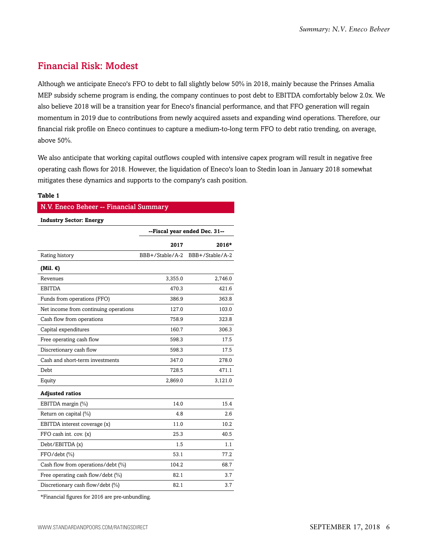# <span id="page-5-0"></span>Financial Risk: Modest

Although we anticipate Eneco's FFO to debt to fall slightly below 50% in 2018, mainly because the Prinses Amalia MEP subsidy scheme program is ending, the company continues to post debt to EBITDA comfortably below 2.0x. We also believe 2018 will be a transition year for Eneco's financial performance, and that FFO generation will regain momentum in 2019 due to contributions from newly acquired assets and expanding wind operations. Therefore, our financial risk profile on Eneco continues to capture a medium-to-long term FFO to debt ratio trending, on average, above 50%.

We also anticipate that working capital outflows coupled with intensive capex program will result in negative free operating cash flows for 2018. However, the liquidation of Eneco's loan to Stedin loan in January 2018 somewhat mitigates these dynamics and supports to the company's cash position.

#### **Table 1**

| N.V. Eneco Beheer -- Financial Summary |                               |                 |  |  |  |  |  |
|----------------------------------------|-------------------------------|-----------------|--|--|--|--|--|
| <b>Industry Sector: Energy</b>         |                               |                 |  |  |  |  |  |
|                                        | --Fiscal year ended Dec. 31-- |                 |  |  |  |  |  |
|                                        | 2017                          | $2016*$         |  |  |  |  |  |
| Rating history                         | BBB+/Stable/A-2               | BBB+/Stable/A-2 |  |  |  |  |  |
| (Mil. $\epsilon$ )                     |                               |                 |  |  |  |  |  |
| Revenues                               | 3,355.0                       | 2,746.0         |  |  |  |  |  |
| <b>EBITDA</b>                          | 470.3                         | 421.6           |  |  |  |  |  |
| Funds from operations (FFO)            | 386.9                         | 363.8           |  |  |  |  |  |
| Net income from continuing operations  | 127.0                         | 103.0           |  |  |  |  |  |
| Cash flow from operations              | 758.9                         | 323.8           |  |  |  |  |  |
| Capital expenditures                   | 160.7                         | 306.3           |  |  |  |  |  |
| Free operating cash flow               | 598.3                         | 17.5            |  |  |  |  |  |
| Discretionary cash flow                | 598.3                         | 17.5            |  |  |  |  |  |
| Cash and short-term investments        | 347.0                         | 278.0           |  |  |  |  |  |
| Debt                                   | 728.5                         | 471.1           |  |  |  |  |  |
| Equity                                 | 2,869.0                       | 3,121.0         |  |  |  |  |  |
| <b>Adjusted ratios</b>                 |                               |                 |  |  |  |  |  |
| EBITDA margin (%)                      | 14.0                          | 15.4            |  |  |  |  |  |
| Return on capital (%)                  | 4.8                           | 2.6             |  |  |  |  |  |
| EBITDA interest coverage (x)           | 11.0                          | 10.2            |  |  |  |  |  |
| FFO cash int. cov. (x)                 | 25.3                          | 40.5            |  |  |  |  |  |
| Debt/EBITDA (x)                        | 1.5                           | 1.1             |  |  |  |  |  |
| $FFO/debt$ $(\%)$                      | 53.1                          | 77.2            |  |  |  |  |  |
| Cash flow from operations/debt (%)     | 104.2                         | 68.7            |  |  |  |  |  |
| Free operating cash flow/debt (%)      | 82.1                          | 3.7             |  |  |  |  |  |
| Discretionary cash flow/debt (%)       | 82.1                          | 3.7             |  |  |  |  |  |

\*Financial figures for 2016 are pre-unbundling.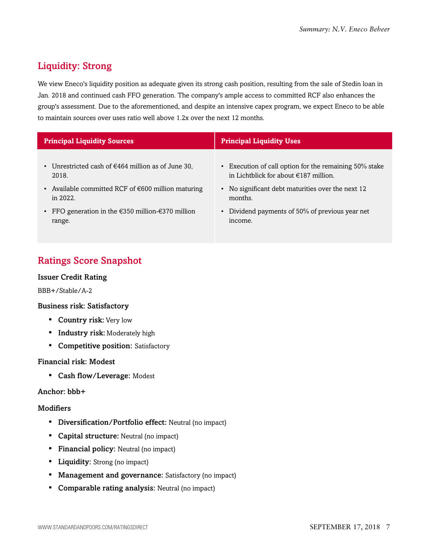# <span id="page-6-0"></span>Liquidity: Strong

We view Eneco's liquidity position as adequate given its strong cash position, resulting from the sale of Stedin loan in Jan. 2018 and continued cash FFO generation. The company's ample access to committed RCF also enhances the group's assessment. Due to the aforementioned, and despite an intensive capex program, we expect Eneco to be able to maintain sources over uses ratio well above 1.2x over the next 12 months.

| <b>Principal Liquidity Sources</b>                                     | <b>Principal Liquidity Uses</b>                        |
|------------------------------------------------------------------------|--------------------------------------------------------|
| • Unrestricted cash of $€464$ million as of June 30,                   | • Execution of call option for the remaining 50% stake |
| 2018.                                                                  | in Lichtblick for about $\in$ 187 million.             |
| • Available committed RCF of $\epsilon$ 600 million maturing           | No significant debt maturities over the next 12        |
| in $2022$                                                              | months.                                                |
| • FFO generation in the $\epsilon$ 350 million- $\epsilon$ 370 million | Dividend payments of 50% of previous year net          |
| range.                                                                 | income.                                                |

# <span id="page-6-1"></span>Ratings Score Snapshot

# Issuer Credit Rating

BBB+/Stable/A-2

# Business risk: Satisfactory

- Country risk: Very low
- Industry risk: Moderately high
- Competitive position: Satisfactory

# Financial risk: Modest

• Cash flow/Leverage: Modest

# Anchor: bbb+

# **Modifiers**

- Diversification/Portfolio effect: Neutral (no impact)
- Capital structure: Neutral (no impact)
- Financial policy: Neutral (no impact)
- Liquidity: Strong (no impact)
- Management and governance: Satisfactory (no impact)
- Comparable rating analysis: Neutral (no impact)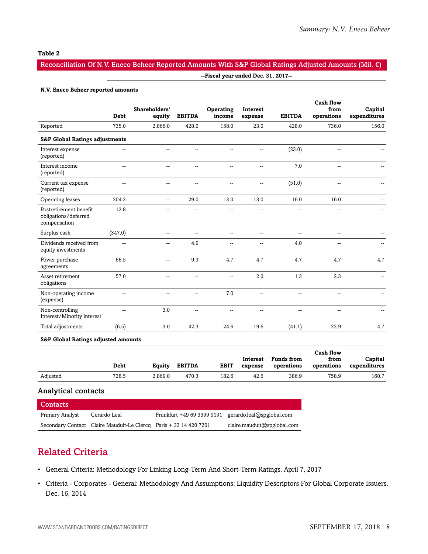#### **Table 2**

# Reconciliation Of N.V. Eneco Beheer Reported Amounts With S&P Global Ratings Adjusted Amounts (Mil. €)

#### **N.V. Eneco Beheer reported amounts**

|                                                                | <b>Debt</b>              | Shareholders'<br>equity  | <b>EBITDA</b>            | Operating<br>income | Interest<br>expense | <b>EBITDA</b>            | <b>Cash flow</b><br>from<br>operations | Capital<br>expenditures |
|----------------------------------------------------------------|--------------------------|--------------------------|--------------------------|---------------------|---------------------|--------------------------|----------------------------------------|-------------------------|
| Reported                                                       | 735.0                    | 2.866.0                  | 428.0                    | 158.0               | 23.0                | 428.0                    | 736.0                                  | 156.0                   |
| <b>S&amp;P Global Ratings adjustments</b>                      |                          |                          |                          |                     |                     |                          |                                        |                         |
| Interest expense<br>(reported)                                 | --                       | $\overline{a}$           | $\overline{a}$           | $\overline{a}$      | $\overline{a}$      | (23.0)                   | $\overline{a}$                         |                         |
| Interest income<br>(reported)                                  | $\overline{a}$           | $-$                      | --                       | $\overline{a}$      | $\overline{a}$      | 7.0                      | --                                     |                         |
| Current tax expense<br>(reported)                              | $\overline{\phantom{a}}$ | −−                       | --                       | $\overline{a}$      | --                  | (51.0)                   | --                                     |                         |
| Operating leases                                               | 204.3                    | $\overline{\phantom{a}}$ | 29.0                     | 13.0                | 13.0                | 16.0                     | 16.0                                   |                         |
| Postretirement benefit<br>obligations/deferred<br>compensation | 12.8                     |                          | --                       | $\sim$              | $\overline{a}$      | $\sim$                   | $-$                                    |                         |
| Surplus cash                                                   | (347.0)                  | $\overline{\phantom{a}}$ | $\overline{a}$           | $\mathbf{u}$        | $\overline{a}$      | $\overline{\phantom{a}}$ | $\overline{a}$                         |                         |
| Dividends received from<br>equity investments                  | $\overline{a}$           |                          | 4.0                      | --                  | --                  | 4.0                      | --                                     |                         |
| Power purchase<br>agreements                                   | 66.5                     | --                       | 9.3                      | 4.7                 | 4.7                 | 4.7                      | 4.7                                    | 4.7                     |
| Asset retirement<br>obligations                                | 57.0                     | $\overline{\phantom{a}}$ | $\overline{a}$           | $\mathbf{u}$        | 2.0                 | 1.3                      | 2.3                                    | $-$                     |
| Non-operating income<br>(expense)                              | --                       | --                       | --                       | 7.0                 | $\overline{a}$      | --                       | --                                     |                         |
| Non-controlling<br>Interest/Minority interest                  | $\overline{\phantom{a}}$ | 3.0                      | $\overline{\phantom{a}}$ | $\overline{a}$      | $\overline{a}$      | --                       | --                                     |                         |
| Total adjustments                                              | (6.5)                    | 3.0                      | 42.3                     | 24.6                | 19.6                | (41.1)                   | 22.9                                   | 4.7                     |

#### **S&P Global Ratings adjusted amounts**

|          | Debt  | Equity  | <b>EBITDA</b> | <b>EBIT</b> | Interest<br>expense | <b>Funds from</b><br>operations | Cash flow<br>from<br>operations | Capital<br>expenditures |
|----------|-------|---------|---------------|-------------|---------------------|---------------------------------|---------------------------------|-------------------------|
| Adjusted | 728.5 | 2.869.0 | 470.3         | 182.6       | 42.6                | 386.9                           | 758.9                           | 160.7                   |

#### Analytical contacts

| Contacts        |                                                                   |                                                      |                             |
|-----------------|-------------------------------------------------------------------|------------------------------------------------------|-----------------------------|
| Primary Analyst | Gerardo Leal                                                      | Frankfurt +49 69 3399 9191 gerardo.leal@spglobal.com |                             |
|                 | Secondary Contact Claire Mauduit-Le Clercq Paris + 33 14 420 7201 |                                                      | claire.mauduit@spglobal.com |

# <span id="page-7-0"></span>Related Criteria

- General Criteria: Methodology For Linking Long-Term And Short-Term Ratings, April 7, 2017
- Criteria Corporates General: Methodology And Assumptions: Liquidity Descriptors For Global Corporate Issuers, Dec. 16, 2014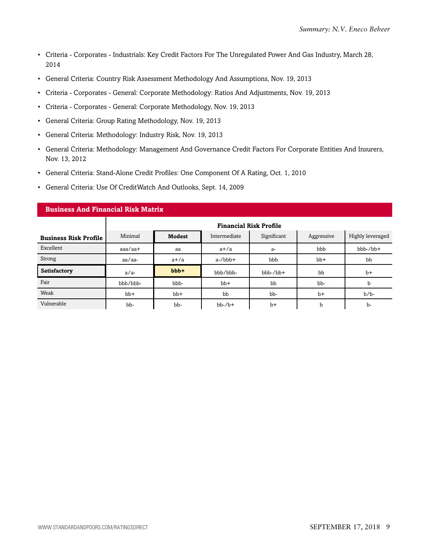- Criteria Corporates Industrials: Key Credit Factors For The Unregulated Power And Gas Industry, March 28, 2014
- General Criteria: Country Risk Assessment Methodology And Assumptions, Nov. 19, 2013
- Criteria Corporates General: Corporate Methodology: Ratios And Adjustments, Nov. 19, 2013
- Criteria Corporates General: Corporate Methodology, Nov. 19, 2013
- General Criteria: Group Rating Methodology, Nov. 19, 2013
- General Criteria: Methodology: Industry Risk, Nov. 19, 2013
- General Criteria: Methodology: Management And Governance Credit Factors For Corporate Entities And Insurers, Nov. 13, 2012
- General Criteria: Stand-Alone Credit Profiles: One Component Of A Rating, Oct. 1, 2010
- General Criteria: Use Of CreditWatch And Outlooks, Sept. 14, 2009

| <b>Business And Financial Risk Matrix</b> |                                                                                           |         |              |            |       |            |  |  |
|-------------------------------------------|-------------------------------------------------------------------------------------------|---------|--------------|------------|-------|------------|--|--|
|                                           | <b>Financial Risk Profile</b>                                                             |         |              |            |       |            |  |  |
| <b>Business Risk Profile</b>              | Minimal<br>Significant<br>Highly leveraged<br><b>Modest</b><br>Intermediate<br>Aggressive |         |              |            |       |            |  |  |
| Excellent                                 | $a$ aa $/a$ a $+$                                                                         | aa      | $a+/a$       | $a-$       | bbb   | $bbb-/bb+$ |  |  |
| Strong                                    | aa/aa-                                                                                    | $a+/a$  | $a$ -/ $bbb$ | bbb        | $bb+$ | bb         |  |  |
| Satisfactory                              | $a/a-$                                                                                    | $bbb +$ | bbb/bbb-     | $bbb-/bb+$ | bb    | $b+$       |  |  |
| Fair                                      | bbb/bbb-                                                                                  | bbb-    | $bb+$        | bb         | bb-   | b          |  |  |
| Weak                                      | $bb+$                                                                                     | $bb+$   | bb           | bb-        | $b+$  | $b/b$ -    |  |  |
| Vulnerable                                | bb-                                                                                       | bb-     | $bb-7b+$     | $b+$       | b     | b-         |  |  |